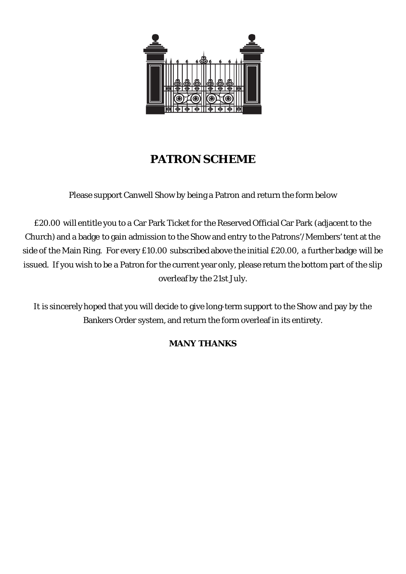

## **PATRON SCHEME**

Please support Canwell Show by being a Patron and return the form below

£20.00 will entitle you to a Car Park Ticket for the Reserved Official Car Park (adjacent to the Church) and a badge to gain admission to the Show and entry to the Patrons'/Members' tent at the side of the Main Ring. For every £10.00 subscribed above the initial £20.00, a further badge will be issued. If you wish to be a Patron for the current year only, please return the bottom part of the slip overleaf by the 21st July.

It is sincerely hoped that you will decide to give long-term support to the Show and pay by the Bankers Order system, and return the form overleaf in its entirety.

## **MANY THANKS**